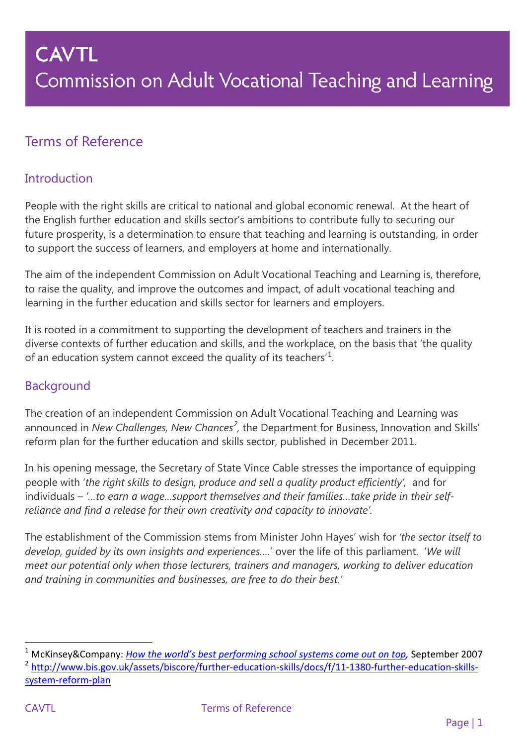### Terms of Reference

### **Introduction**

People with the right skills are critical to national and global economic renewal. At the heart of the English further education and skills sector's ambitions to contribute fully to securing our future prosperity, is a determination to ensure that teaching and learning is outstanding, in order to support the success of learners, and employers at home and internationally.

The aim of the independent Commission on Adult Vocational Teaching and Learning is, therefore, to raise the quality, and improve the outcomes and impact, of adult vocational teaching and learning in the further education and skills sector for learners and employers.

It is rooted in a commitment to supporting the development of teachers and trainers in the diverse contexts of further education and skills, and the workplace, on the basis that 'the quality of an education system cannot exceed the quality of its teachers<sup>'[1](#page-0-0)</sup>.

### Background

The creation of an independent Commission on Adult Vocational Teaching and Learning was announced in *New Challenges, New Chances<sup>[2](#page-0-1)</sup>*, the Department for Business, Innovation and Skills' reform plan for the further education and skills sector, published in December 2011.

In his opening message, the Secretary of State Vince Cable stresses the importance of equipping people with '*the right skills to design, produce and sell a quality product efficiently',* and for individuals – *'…to earn a wage…support themselves and their families…take pride in their selfreliance and find a release for their own creativity and capacity to innovate'.* 

The establishment of the Commission stems from Minister John Hayes' wish for *'the sector itself to develop, guided by its own insights and experiences….*' over the life of this parliament. '*We will meet our potential only when those lecturers, trainers and managers, working to deliver education and training in communities and businesses, are free to do their best.'* 

l <sup>1</sup> McKinsey&Company: *[How the world's best performing school](http://www.mckinseyonsociety.com/downloads/reports/Education/Worlds_School_Systems_Final.pdf) systems come out on top,* September 2007

<span id="page-0-1"></span><span id="page-0-0"></span><sup>&</sup>lt;sup>2</sup> [http://www.bis.gov.uk/assets/biscore/further-education-skills/docs/f/11-1380-further-education-skills](http://www.bis.gov.uk/assets/biscore/further-education-skills/docs/f/11-1380-further-education-skills-system-reform-plan)[system-reform-plan](http://www.bis.gov.uk/assets/biscore/further-education-skills/docs/f/11-1380-further-education-skills-system-reform-plan)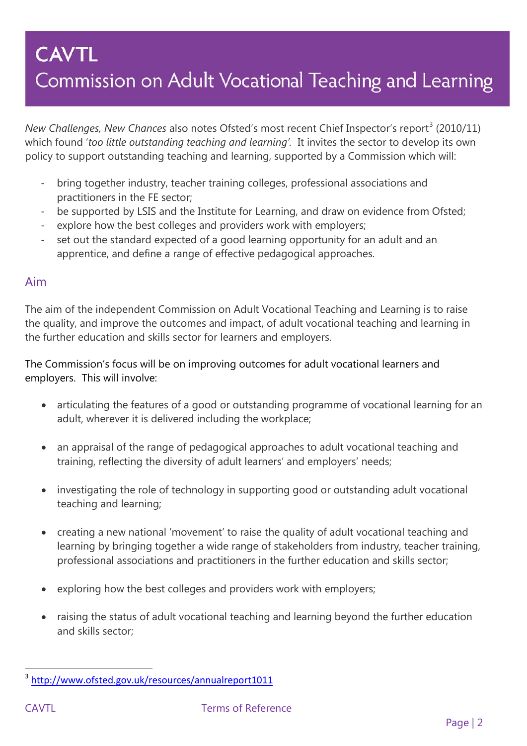*New Challenges, New Chances* also notes Ofsted's most recent Chief Inspector's report<sup>[3](#page-1-0)</sup> (2010/11) which found '*too little outstanding teaching and learning'.* It invites the sector to develop its own policy to support outstanding teaching and learning, supported by a Commission which will:

- bring together industry, teacher training colleges, professional associations and practitioners in the FE sector;
- be supported by LSIS and the Institute for Learning, and draw on evidence from Ofsted;
- explore how the best colleges and providers work with employers;
- set out the standard expected of a good learning opportunity for an adult and an apprentice, and define a range of effective pedagogical approaches.

#### Aim

The aim of the independent Commission on Adult Vocational Teaching and Learning is to raise the quality, and improve the outcomes and impact, of adult vocational teaching and learning in the further education and skills sector for learners and employers.

The Commission's focus will be on improving outcomes for adult vocational learners and employers. This will involve:

- articulating the features of a good or outstanding programme of vocational learning for an adult, wherever it is delivered including the workplace;
- an appraisal of the range of pedagogical approaches to adult vocational teaching and training, reflecting the diversity of adult learners' and employers' needs;
- investigating the role of technology in supporting good or outstanding adult vocational teaching and learning;
- creating a new national 'movement' to raise the quality of adult vocational teaching and learning by bringing together a wide range of stakeholders from industry, teacher training, professional associations and practitioners in the further education and skills sector;
- exploring how the best colleges and providers work with employers;
- raising the status of adult vocational teaching and learning beyond the further education and skills sector;

<span id="page-1-0"></span>l <sup>3</sup> <http://www.ofsted.gov.uk/resources/annualreport1011>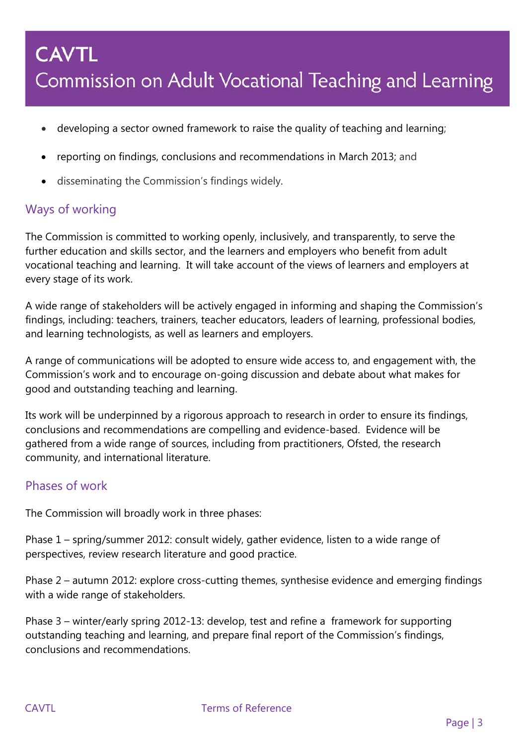- developing a sector owned framework to raise the quality of teaching and learning;
- reporting on findings, conclusions and recommendations in March 2013; and
- disseminating the Commission's findings widely.

### Ways of working

The Commission is committed to working openly, inclusively, and transparently, to serve the further education and skills sector, and the learners and employers who benefit from adult vocational teaching and learning. It will take account of the views of learners and employers at every stage of its work.

A wide range of stakeholders will be actively engaged in informing and shaping the Commission's findings, including: teachers, trainers, teacher educators, leaders of learning, professional bodies, and learning technologists, as well as learners and employers.

A range of communications will be adopted to ensure wide access to, and engagement with, the Commission's work and to encourage on-going discussion and debate about what makes for good and outstanding teaching and learning.

Its work will be underpinned by a rigorous approach to research in order to ensure its findings, conclusions and recommendations are compelling and evidence-based. Evidence will be gathered from a wide range of sources, including from practitioners, Ofsted, the research community, and international literature.

### Phases of work

The Commission will broadly work in three phases:

Phase 1 – spring/summer 2012: consult widely, gather evidence, listen to a wide range of perspectives, review research literature and good practice.

Phase 2 – autumn 2012: explore cross-cutting themes, synthesise evidence and emerging findings with a wide range of stakeholders.

Phase 3 – winter/early spring 2012-13: develop, test and refine a framework for supporting outstanding teaching and learning, and prepare final report of the Commission's findings, conclusions and recommendations.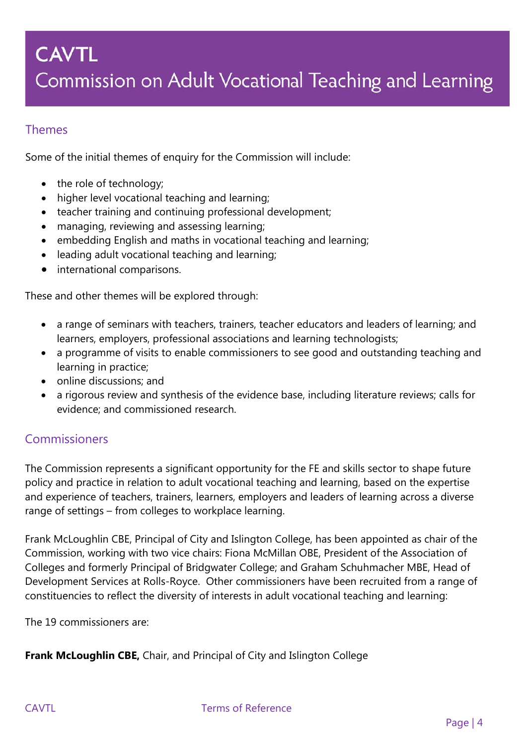### Themes

Some of the initial themes of enquiry for the Commission will include:

- the role of technology;
- higher level vocational teaching and learning;
- teacher training and continuing professional development;
- managing, reviewing and assessing learning;
- embedding English and maths in vocational teaching and learning;
- leading adult vocational teaching and learning;
- international comparisons.

These and other themes will be explored through:

- a range of seminars with teachers, trainers, teacher educators and leaders of learning; and learners, employers, professional associations and learning technologists;
- a programme of visits to enable commissioners to see good and outstanding teaching and learning in practice;
- online discussions; and
- a rigorous review and synthesis of the evidence base, including literature reviews; calls for evidence; and commissioned research.

### Commissioners

The Commission represents a significant opportunity for the FE and skills sector to shape future policy and practice in relation to adult vocational teaching and learning, based on the expertise and experience of teachers, trainers, learners, employers and leaders of learning across a diverse range of settings – from colleges to workplace learning.

Frank McLoughlin CBE, Principal of City and Islington College, has been appointed as chair of the Commission, working with two vice chairs: Fiona McMillan OBE, President of the Association of Colleges and formerly Principal of Bridgwater College; and Graham Schuhmacher MBE, Head of Development Services at Rolls-Royce. Other commissioners have been recruited from a range of constituencies to reflect the diversity of interests in adult vocational teaching and learning:

The 19 commissioners are:

**Frank McLoughlin CBE,** Chair, and Principal of City and Islington College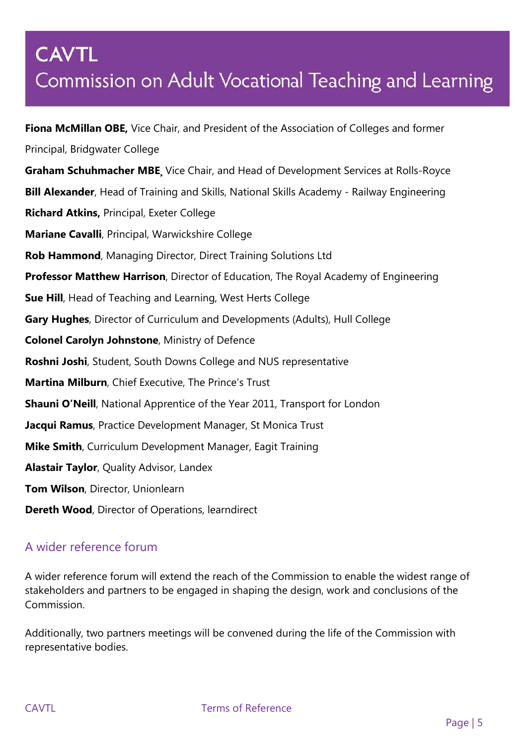**Fiona McMillan OBE,** Vice Chair, and President of the Association of Colleges and former Principal, Bridgwater College **Graham Schuhmacher MBE¸** Vice Chair, and Head of Development Services at Rolls-Royce **Bill Alexander**, Head of Training and Skills, National Skills Academy - Railway Engineering **Richard Atkins,** Principal, Exeter College **Mariane Cavalli**, Principal, Warwickshire College **Rob Hammond**, Managing Director, Direct Training Solutions Ltd **Professor Matthew Harrison**, Director of Education, The Royal Academy of Engineering **Sue Hill**, Head of Teaching and Learning, West Herts College **Gary Hughes**, Director of Curriculum and Developments (Adults), Hull College **Colonel Carolyn Johnstone**, Ministry of Defence **Roshni Joshi**, Student, South Downs College and NUS representative **Martina Milburn**, Chief Executive, The Prince's Trust **Shauni O'Neill**, National Apprentice of the Year 2011, Transport for London **Jacqui Ramus**, Practice Development Manager, St Monica Trust **Mike Smith**, Curriculum Development Manager, Eagit Training **Alastair Taylor**, Quality Advisor, Landex **Tom Wilson**, Director, Unionlearn **Dereth Wood**, Director of Operations, learndirect

### A wider reference forum

A wider reference forum will extend the reach of the Commission to enable the widest range of stakeholders and partners to be engaged in shaping the design, work and conclusions of the Commission.

Additionally, two partners meetings will be convened during the life of the Commission with representative bodies.